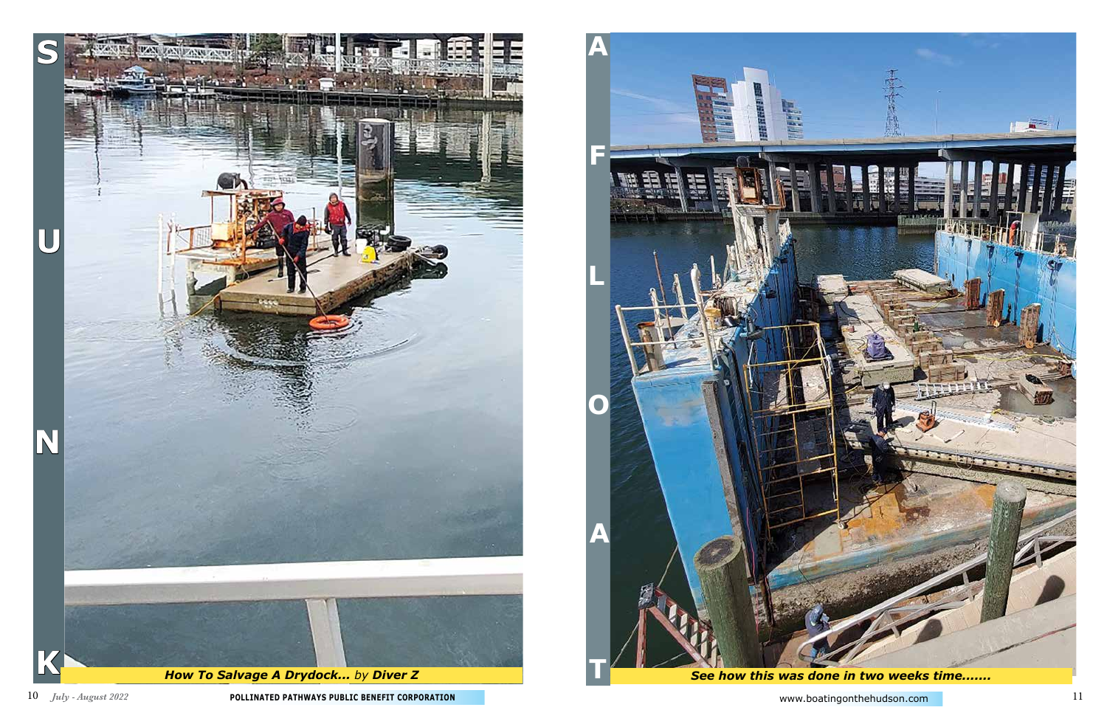

10 *July - August 2022* **POLLINATED PATHWAYS PUBLIC BENEFIT CORPORATION POLLINATED PATHWAYS PUBLIC BENEFIT CORPORATION** 

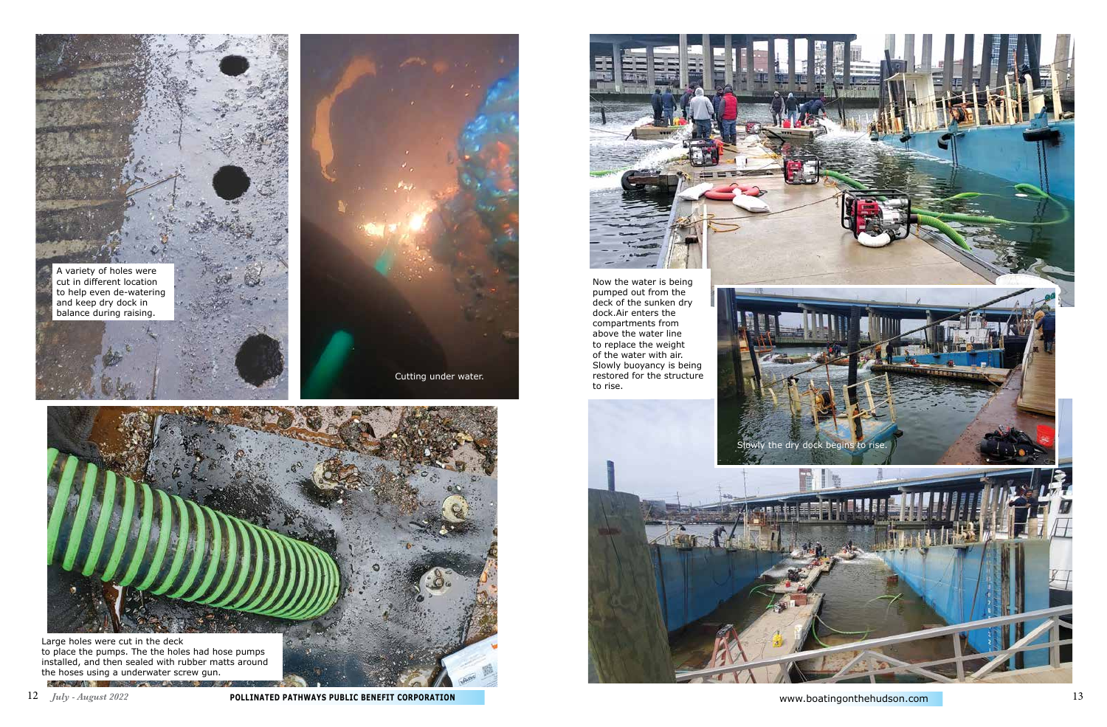Large holes were cut in the deck to place the pumps. The the holes had hose pumps installed, and then sealed with rubber matts around the hoses using a underwater screw gun.